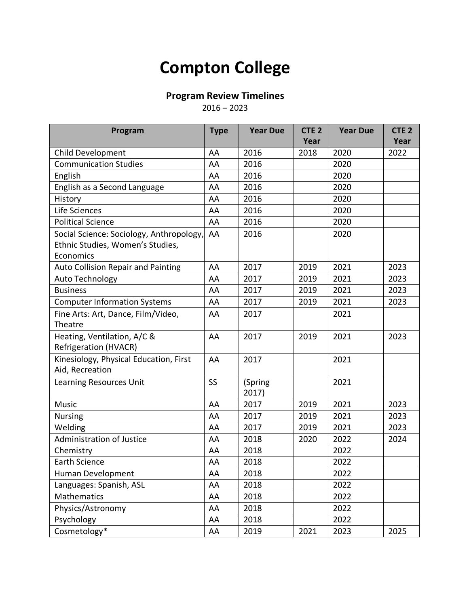## **Compton College**

## **Program Review Timelines**

 $2016 - 2023$ 

| Program                                   | <b>Type</b> | <b>Year Due</b> | CTE <sub>2</sub> | <b>Year Due</b> | CTE <sub>2</sub> |
|-------------------------------------------|-------------|-----------------|------------------|-----------------|------------------|
|                                           |             |                 | Year             |                 | Year             |
| Child Development                         | AA          | 2016            | 2018             | 2020            | 2022             |
| <b>Communication Studies</b>              | AA          | 2016            |                  | 2020            |                  |
| English                                   | AA          | 2016            |                  | 2020            |                  |
| English as a Second Language              | AA          | 2016            |                  | 2020            |                  |
| History                                   | AA          | 2016            |                  | 2020            |                  |
| Life Sciences                             | AA          | 2016            |                  | 2020            |                  |
| <b>Political Science</b>                  | AA          | 2016            |                  | 2020            |                  |
| Social Science: Sociology, Anthropology,  | AA          | 2016            |                  | 2020            |                  |
| Ethnic Studies, Women's Studies,          |             |                 |                  |                 |                  |
| Economics                                 |             |                 |                  |                 |                  |
| <b>Auto Collision Repair and Painting</b> | AA          | 2017            | 2019             | 2021            | 2023             |
| Auto Technology                           | AA          | 2017            | 2019             | 2021            | 2023             |
| <b>Business</b>                           | AA          | 2017            | 2019             | 2021            | 2023             |
| <b>Computer Information Systems</b>       | AA          | 2017            | 2019             | 2021            | 2023             |
| Fine Arts: Art, Dance, Film/Video,        | AA          | 2017            |                  | 2021            |                  |
| Theatre                                   |             |                 |                  |                 |                  |
| Heating, Ventilation, A/C &               | AA          | 2017            | 2019             | 2021            | 2023             |
| <b>Refrigeration (HVACR)</b>              |             |                 |                  |                 |                  |
| Kinesiology, Physical Education, First    | AA          | 2017            |                  | 2021            |                  |
| Aid, Recreation                           |             |                 |                  |                 |                  |
| Learning Resources Unit                   | <b>SS</b>   | (Spring         |                  | 2021            |                  |
|                                           |             | 2017)           |                  |                 |                  |
| Music                                     | AA          | 2017            | 2019             | 2021            | 2023             |
| Nursing                                   | AA          | 2017            | 2019             | 2021            | 2023             |
| Welding                                   | AA          | 2017            | 2019             | 2021            | 2023             |
| <b>Administration of Justice</b>          | AA          | 2018            | 2020             | 2022            | 2024             |
| Chemistry                                 | AA          | 2018            |                  | 2022            |                  |
| <b>Earth Science</b>                      | AA          | 2018            |                  | 2022            |                  |
| Human Development                         | AA          | 2018            |                  | 2022            |                  |
| Languages: Spanish, ASL                   | AA          | 2018            |                  | 2022            |                  |
| Mathematics                               | AA          | 2018            |                  | 2022            |                  |
| Physics/Astronomy                         | AA          | 2018            |                  | 2022            |                  |
| Psychology                                | AA          | 2018            |                  | 2022            |                  |
| Cosmetology*                              | AA          | 2019            | 2021             | 2023            | 2025             |